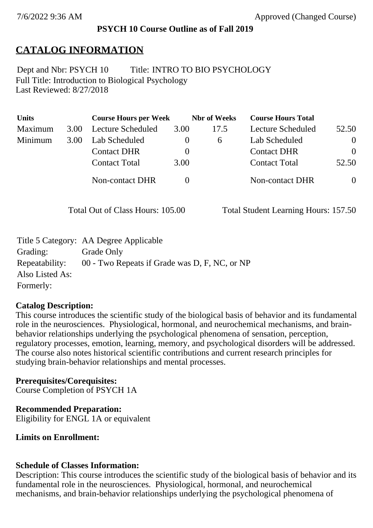## **PSYCH 10 Course Outline as of Fall 2019**

# **CATALOG INFORMATION**

Full Title: Introduction to Biological Psychology Last Reviewed: 8/27/2018 Dept and Nbr: PSYCH 10 Title: INTRO TO BIO PSYCHOLOGY

| <b>Units</b> |      | <b>Course Hours per Week</b> |          | <b>Nbr</b> of Weeks | <b>Course Hours Total</b> |          |
|--------------|------|------------------------------|----------|---------------------|---------------------------|----------|
| Maximum      | 3.00 | <b>Lecture Scheduled</b>     | 3.00     | 17.5                | Lecture Scheduled         | 52.50    |
| Minimum      | 3.00 | Lab Scheduled                | $\bf{0}$ | 6                   | Lab Scheduled             | $\theta$ |
|              |      | <b>Contact DHR</b>           | $\theta$ |                     | <b>Contact DHR</b>        | $\Omega$ |
|              |      | <b>Contact Total</b>         | 3.00     |                     | <b>Contact Total</b>      | 52.50    |
|              |      | Non-contact DHR              |          |                     | <b>Non-contact DHR</b>    | $\theta$ |

Total Out of Class Hours: 105.00 Total Student Learning Hours: 157.50

|                 | Title 5 Category: AA Degree Applicable        |
|-----------------|-----------------------------------------------|
| Grading:        | Grade Only                                    |
| Repeatability:  | 00 - Two Repeats if Grade was D, F, NC, or NP |
| Also Listed As: |                                               |
| Formerly:       |                                               |

## **Catalog Description:**

This course introduces the scientific study of the biological basis of behavior and its fundamental role in the neurosciences. Physiological, hormonal, and neurochemical mechanisms, and brainbehavior relationships underlying the psychological phenomena of sensation, perception, regulatory processes, emotion, learning, memory, and psychological disorders will be addressed. The course also notes historical scientific contributions and current research principles for studying brain-behavior relationships and mental processes.

## **Prerequisites/Corequisites:**

Course Completion of PSYCH 1A

## **Recommended Preparation:**

Eligibility for ENGL 1A or equivalent

**Limits on Enrollment:**

## **Schedule of Classes Information:**

Description: This course introduces the scientific study of the biological basis of behavior and its fundamental role in the neurosciences. Physiological, hormonal, and neurochemical mechanisms, and brain-behavior relationships underlying the psychological phenomena of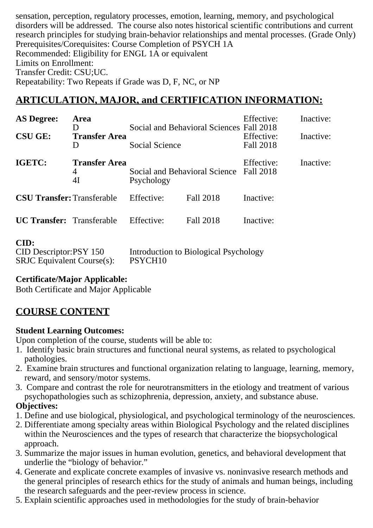sensation, perception, regulatory processes, emotion, learning, memory, and psychological disorders will be addressed. The course also notes historical scientific contributions and current research principles for studying brain-behavior relationships and mental processes. (Grade Only) Prerequisites/Corequisites: Course Completion of PSYCH 1A Recommended: Eligibility for ENGL 1A or equivalent Limits on Enrollment: Transfer Credit: CSU;UC. Repeatability: Two Repeats if Grade was D, F, NC, or NP

## **ARTICULATION, MAJOR, and CERTIFICATION INFORMATION:**

| <b>AS Degree:</b>                                                   | Area<br>D                       | Social and Behavioral Sciences Fall 2018<br>Social Science<br>Social and Behavioral Science<br>Psychology |                                       | Effective:<br>Effective:<br>Fall 2018 | Inactive: |
|---------------------------------------------------------------------|---------------------------------|-----------------------------------------------------------------------------------------------------------|---------------------------------------|---------------------------------------|-----------|
| <b>CSU GE:</b>                                                      | <b>Transfer Area</b><br>D       |                                                                                                           |                                       |                                       | Inactive: |
| IGETC:                                                              | <b>Transfer Area</b><br>4<br>4I |                                                                                                           |                                       | Effective:<br>Fall 2018               | Inactive: |
| <b>CSU Transfer: Transferable</b>                                   |                                 | Effective:                                                                                                | Fall 2018                             | Inactive:                             |           |
| <b>UC Transfer:</b> Transferable                                    |                                 | Effective:                                                                                                | Fall 2018                             | Inactive:                             |           |
| CID:<br>CID Descriptor:PSY 150<br><b>SRJC</b> Equivalent Course(s): |                                 | PSYCH <sub>10</sub>                                                                                       | Introduction to Biological Psychology |                                       |           |

### **Certificate/Major Applicable:**

[Both Certificate and Major Applicable](SR_ClassCheck.aspx?CourseKey=PSYCH10)

## **COURSE CONTENT**

### **Student Learning Outcomes:**

Upon completion of the course, students will be able to:

- 1. Identify basic brain structures and functional neural systems, as related to psychological pathologies.
- 2. Examine brain structures and functional organization relating to language, learning, memory, reward, and sensory/motor systems.
- 3. Compare and contrast the role for neurotransmitters in the etiology and treatment of various psychopathologies such as schizophrenia, depression, anxiety, and substance abuse.

### **Objectives:**

- 1. Define and use biological, physiological, and psychological terminology of the neurosciences.
- 2. Differentiate among specialty areas within Biological Psychology and the related disciplines within the Neurosciences and the types of research that characterize the biopsychological approach.
- 3. Summarize the major issues in human evolution, genetics, and behavioral development that underlie the "biology of behavior."
- 4. Generate and explicate concrete examples of invasive vs. noninvasive research methods and the general principles of research ethics for the study of animals and human beings, including the research safeguards and the peer-review process in science.
- 5. Explain scientific approaches used in methodologies for the study of brain-behavior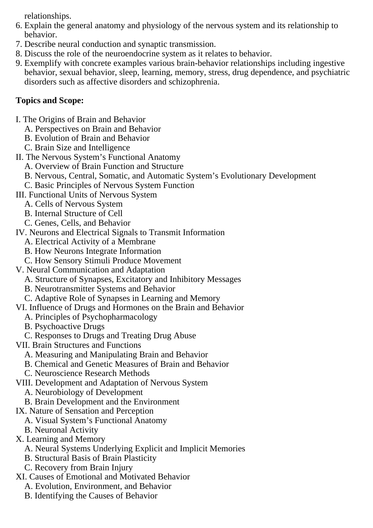relationships.

- 6. Explain the general anatomy and physiology of the nervous system and its relationship to behavior.
- 7. Describe neural conduction and synaptic transmission.
- 8. Discuss the role of the neuroendocrine system as it relates to behavior.
- 9. Exemplify with concrete examples various brain-behavior relationships including ingestive behavior, sexual behavior, sleep, learning, memory, stress, drug dependence, and psychiatric disorders such as affective disorders and schizophrenia.

## **Topics and Scope:**

- I. The Origins of Brain and Behavior
	- A. Perspectives on Brain and Behavior
	- B. Evolution of Brain and Behavior
	- C. Brain Size and Intelligence
- II. The Nervous System's Functional Anatomy
	- A. Overview of Brain Function and Structure
	- B. Nervous, Central, Somatic, and Automatic System's Evolutionary Development
	- C. Basic Principles of Nervous System Function
- III. Functional Units of Nervous System
	- A. Cells of Nervous System
	- B. Internal Structure of Cell
	- C. Genes, Cells, and Behavior
- IV. Neurons and Electrical Signals to Transmit Information
	- A. Electrical Activity of a Membrane
	- B. How Neurons Integrate Information
	- C. How Sensory Stimuli Produce Movement
- V. Neural Communication and Adaptation
	- A. Structure of Synapses, Excitatory and Inhibitory Messages
	- B. Neurotransmitter Systems and Behavior
	- C. Adaptive Role of Synapses in Learning and Memory
- VI. Influence of Drugs and Hormones on the Brain and Behavior
	- A. Principles of Psychopharmacology
	- B. Psychoactive Drugs
	- C. Responses to Drugs and Treating Drug Abuse
- VII. Brain Structures and Functions
	- A. Measuring and Manipulating Brain and Behavior
	- B. Chemical and Genetic Measures of Brain and Behavior
	- C. Neuroscience Research Methods
- VIII. Development and Adaptation of Nervous System
	- A. Neurobiology of Development
	- B. Brain Development and the Environment
- IX. Nature of Sensation and Perception
	- A. Visual System's Functional Anatomy
	- B. Neuronal Activity
- X. Learning and Memory
	- A. Neural Systems Underlying Explicit and Implicit Memories
	- B. Structural Basis of Brain Plasticity
	- C. Recovery from Brain Injury
- XI. Causes of Emotional and Motivated Behavior
	- A. Evolution, Environment, and Behavior
	- B. Identifying the Causes of Behavior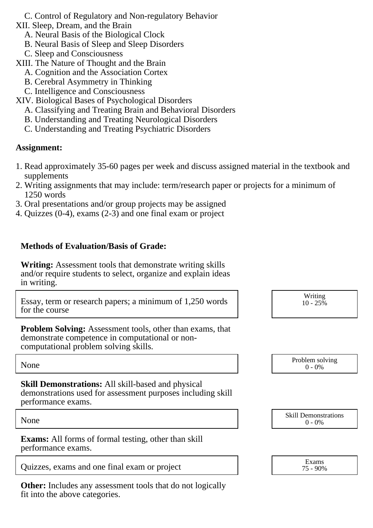C. Control of Regulatory and Non-regulatory Behavior

XII. Sleep, Dream, and the Brain

- A. Neural Basis of the Biological Clock
- B. Neural Basis of Sleep and Sleep Disorders
- C. Sleep and Consciousness
- XIII. The Nature of Thought and the Brain
	- A. Cognition and the Association Cortex
	- B. Cerebral Asymmetry in Thinking
	- C. Intelligence and Consciousness
- XIV. Biological Bases of Psychological Disorders
	- A. Classifying and Treating Brain and Behavioral Disorders
	- B. Understanding and Treating Neurological Disorders
	- C. Understanding and Treating Psychiatric Disorders

### **Assignment:**

- 1. Read approximately 35-60 pages per week and discuss assigned material in the textbook and supplements
- 2. Writing assignments that may include: term/research paper or projects for a minimum of 1250 words
- 3. Oral presentations and/or group projects may be assigned
- 4. Quizzes (0-4), exams (2-3) and one final exam or project

### **Methods of Evaluation/Basis of Grade:**

**Writing:** Assessment tools that demonstrate writing skills and/or require students to select, organize and explain ideas in writing.

Essay, term or research papers; a minimum of 1,250 words for the course

Writing  $10 - 25\%$ 

**Problem Solving:** Assessment tools, other than exams, that demonstrate competence in computational or noncomputational problem solving skills.

**Skill Demonstrations:** All skill-based and physical demonstrations used for assessment purposes including skill performance exams.

**Exams:** All forms of formal testing, other than skill performance exams.

Quizzes, exams and one final exam or project

**Other:** Includes any assessment tools that do not logically fit into the above categories.

| None |  | Problem solving<br>0% |
|------|--|-----------------------|
|------|--|-----------------------|

None Skill Demonstrations<br>  $\begin{array}{c} \text{Skill Demonstructions} \\ 0 - 0\% \end{array}$  $0 - 0\%$ 

| Exams    |  |
|----------|--|
| 75 - 90% |  |